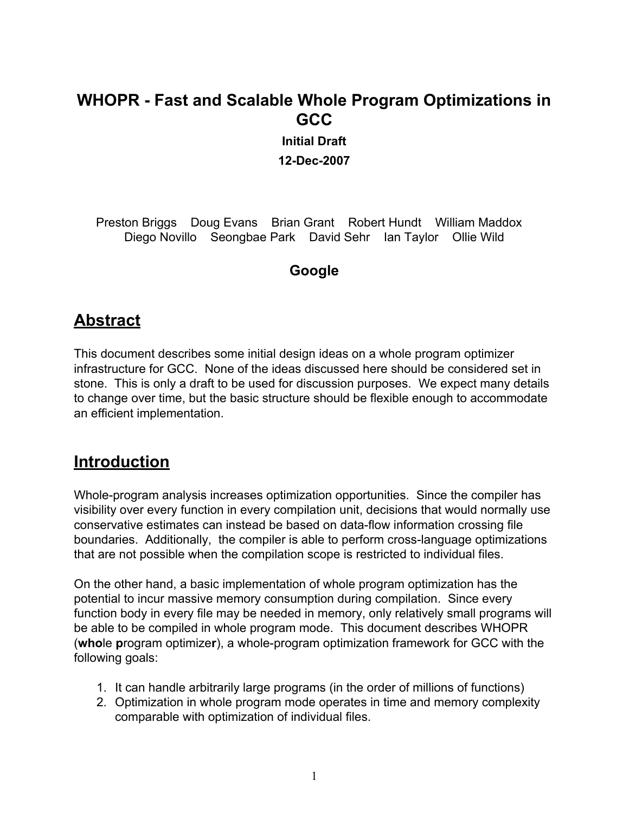## **WHOPR - Fast and Scalable Whole Program Optimizations in GCC**

**Initial Draft 12-Dec-2007**

Preston Briggs Doug Evans Brian Grant Robert Hundt William Maddox Diego Novillo Seongbae Park David Sehr Ian Taylor Ollie Wild

### **Google**

# **Abstract**

This document describes some initial design ideas on a whole program optimizer infrastructure for GCC. None of the ideas discussed here should be considered set in stone. This is only a draft to be used for discussion purposes. We expect many details to change over time, but the basic structure should be flexible enough to accommodate an efficient implementation.

## **Introduction**

Whole-program analysis increases optimization opportunities. Since the compiler has visibility over every function in every compilation unit, decisions that would normally use conservative estimates can instead be based on data-flow information crossing file boundaries. Additionally, the compiler is able to perform cross-language optimizations that are not possible when the compilation scope is restricted to individual files.

On the other hand, a basic implementation of whole program optimization has the potential to incur massive memory consumption during compilation. Since every function body in every file may be needed in memory, only relatively small programs will be able to be compiled in whole program mode. This document describes WHOPR (**who**le **p**rogram optimize**r**), a whole-program optimization framework for GCC with the following goals:

- 1. It can handle arbitrarily large programs (in the order of millions of functions)
- 2. Optimization in whole program mode operates in time and memory complexity comparable with optimization of individual files.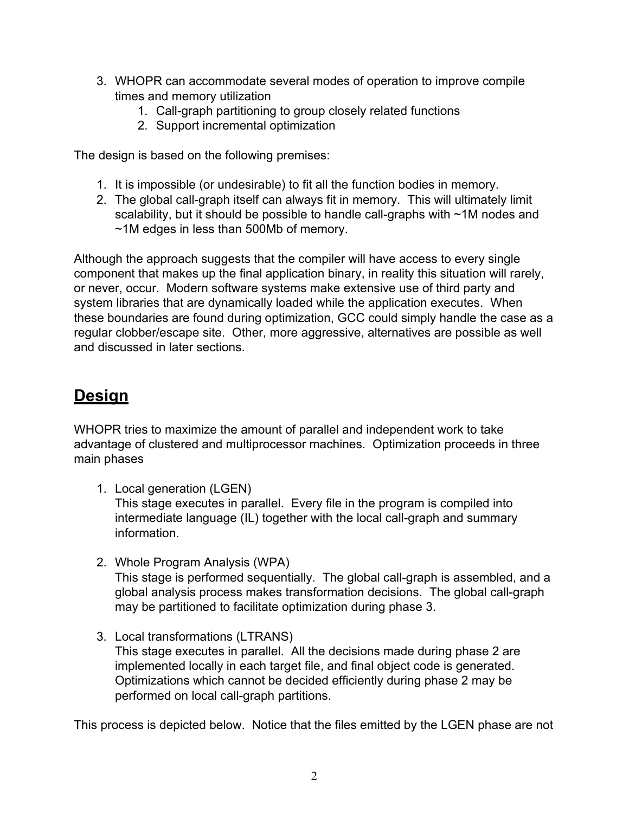- 3. WHOPR can accommodate several modes of operation to improve compile times and memory utilization
	- 1. Call-graph partitioning to group closely related functions
	- 2. Support incremental optimization

The design is based on the following premises:

- 1. It is impossible (or undesirable) to fit all the function bodies in memory.
- 2. The global call-graph itself can always fit in memory. This will ultimately limit scalability, but it should be possible to handle call-graphs with ~1M nodes and ~1M edges in less than 500Mb of memory.

Although the approach suggests that the compiler will have access to every single component that makes up the final application binary, in reality this situation will rarely, or never, occur. Modern software systems make extensive use of third party and system libraries that are dynamically loaded while the application executes. When these boundaries are found during optimization, GCC could simply handle the case as a regular clobber/escape site. Other, more aggressive, alternatives are possible as well and discussed in later sections.

# **Design**

WHOPR tries to maximize the amount of parallel and independent work to take advantage of clustered and multiprocessor machines. Optimization proceeds in three main phases

- 1. Local generation (LGEN) This stage executes in parallel. Every file in the program is compiled into intermediate language (IL) together with the local call-graph and summary information.
- 2. Whole Program Analysis (WPA) This stage is performed sequentially. The global call-graph is assembled, and a global analysis process makes transformation decisions. The global call-graph may be partitioned to facilitate optimization during phase 3.
- 3. Local transformations (LTRANS) This stage executes in parallel. All the decisions made during phase 2 are implemented locally in each target file, and final object code is generated. Optimizations which cannot be decided efficiently during phase 2 may be performed on local call-graph partitions.

This process is depicted below. Notice that the files emitted by the LGEN phase are not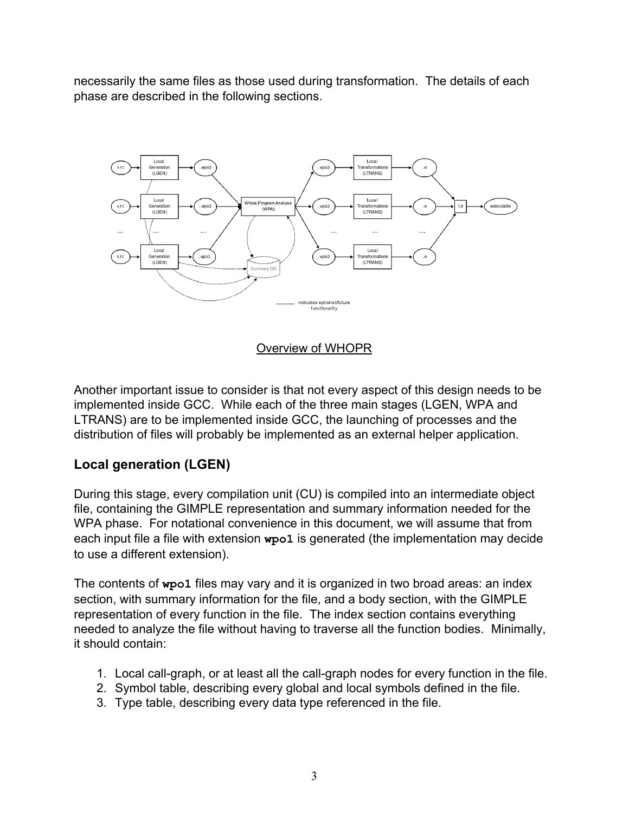necessarily the same files as those used during transformation. The details of each phase are described in the following sections.



#### Overview of WHOPR

Another important issue to consider is that not every aspect of this design needs to be implemented inside GCC. While each of the three main stages (LGEN, WPA and LTRANS) are to be implemented inside GCC, the launching of processes and the distribution of files will probably be implemented as an external helper application.

### **Local generation (LGEN)**

During this stage, every compilation unit (CU) is compiled into an intermediate object file, containing the GIMPLE representation and summary information needed for the WPA phase. For notational convenience in this document, we will assume that from each input file a file with extension **wpo1** is generated (the implementation may decide to use a different extension).

The contents of **wpo1** files may vary and it is organized in two broad areas: an index section, with summary information for the file, and a body section, with the GIMPLE representation of every function in the file. The index section contains everything needed to analyze the file without having to traverse all the function bodies. Minimally, it should contain:

- 1. Local call-graph, or at least all the call-graph nodes for every function in the file.
- 2. Symbol table, describing every global and local symbols defined in the file.
- 3. Type table, describing every data type referenced in the file.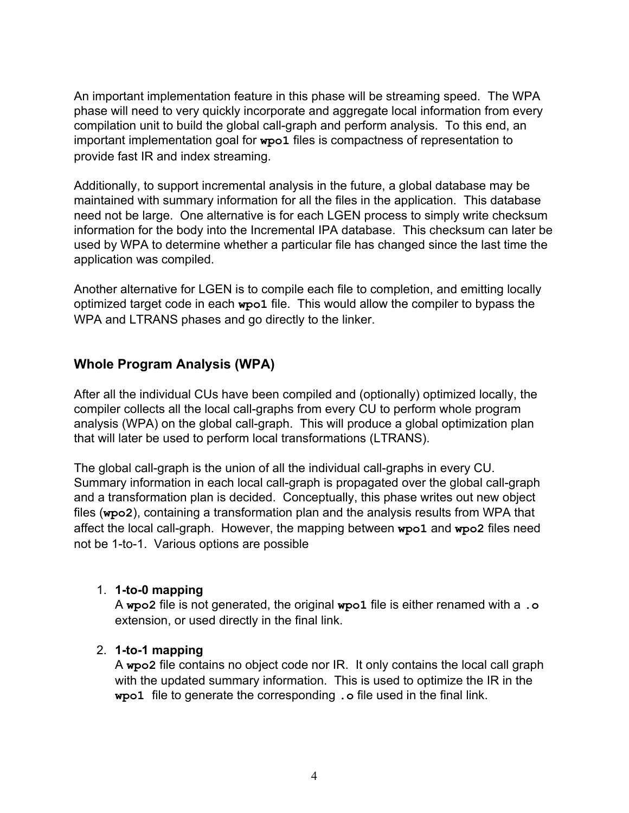An important implementation feature in this phase will be streaming speed. The WPA phase will need to very quickly incorporate and aggregate local information from every compilation unit to build the global call-graph and perform analysis. To this end, an important implementation goal for **wpo1** files is compactness of representation to provide fast IR and index streaming.

Additionally, to support incremental analysis in the future, a global database may be maintained with summary information for all the files in the application. This database need not be large. One alternative is for each LGEN process to simply write checksum information for the body into the Incremental IPA database. This checksum can later be used by WPA to determine whether a particular file has changed since the last time the application was compiled.

Another alternative for LGEN is to compile each file to completion, and emitting locally optimized target code in each **wpo1** file. This would allow the compiler to bypass the WPA and LTRANS phases and go directly to the linker.

#### **Whole Program Analysis (WPA)**

After all the individual CUs have been compiled and (optionally) optimized locally, the compiler collects all the local call-graphs from every CU to perform whole program analysis (WPA) on the global call-graph. This will produce a global optimization plan that will later be used to perform local transformations (LTRANS).

The global call-graph is the union of all the individual call-graphs in every CU. Summary information in each local call-graph is propagated over the global call-graph and a transformation plan is decided. Conceptually, this phase writes out new object files (**wpo2**), containing a transformation plan and the analysis results from WPA that affect the local call-graph. However, the mapping between **wpo1** and **wpo2** files need not be 1-to-1. Various options are possible

#### 1. **1-to-0 mapping**

A **wpo2** file is not generated, the original **wpo1** file is either renamed with a **.o** extension, or used directly in the final link.

#### 2. **1-to-1 mapping**

A **wpo2** file contains no object code nor IR. It only contains the local call graph with the updated summary information. This is used to optimize the IR in the **wpo1** file to generate the corresponding **.o** file used in the final link.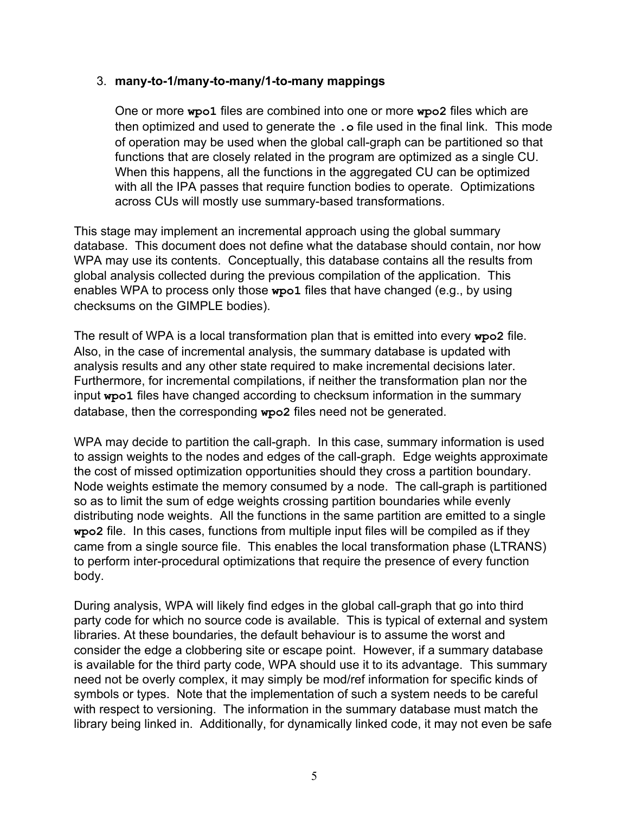#### 3. **many-to-1/many-to-many/1-to-many mappings**

One or more **wpo1** files are combined into one or more **wpo2** files which are then optimized and used to generate the **.o** file used in the final link. This mode of operation may be used when the global call-graph can be partitioned so that functions that are closely related in the program are optimized as a single CU. When this happens, all the functions in the aggregated CU can be optimized with all the IPA passes that require function bodies to operate. Optimizations across CUs will mostly use summary-based transformations.

This stage may implement an incremental approach using the global summary database. This document does not define what the database should contain, nor how WPA may use its contents. Conceptually, this database contains all the results from global analysis collected during the previous compilation of the application. This enables WPA to process only those **wpo1** files that have changed (e.g., by using checksums on the GIMPLE bodies).

The result of WPA is a local transformation plan that is emitted into every **wpo2** file. Also, in the case of incremental analysis, the summary database is updated with analysis results and any other state required to make incremental decisions later. Furthermore, for incremental compilations, if neither the transformation plan nor the input **wpo1** files have changed according to checksum information in the summary database, then the corresponding **wpo2** files need not be generated.

WPA may decide to partition the call-graph. In this case, summary information is used to assign weights to the nodes and edges of the call-graph. Edge weights approximate the cost of missed optimization opportunities should they cross a partition boundary. Node weights estimate the memory consumed by a node. The call-graph is partitioned so as to limit the sum of edge weights crossing partition boundaries while evenly distributing node weights. All the functions in the same partition are emitted to a single **wpo2** file. In this cases, functions from multiple input files will be compiled as if they came from a single source file. This enables the local transformation phase (LTRANS) to perform inter-procedural optimizations that require the presence of every function body.

During analysis, WPA will likely find edges in the global call-graph that go into third party code for which no source code is available. This is typical of external and system libraries. At these boundaries, the default behaviour is to assume the worst and consider the edge a clobbering site or escape point. However, if a summary database is available for the third party code, WPA should use it to its advantage. This summary need not be overly complex, it may simply be mod/ref information for specific kinds of symbols or types. Note that the implementation of such a system needs to be careful with respect to versioning. The information in the summary database must match the library being linked in. Additionally, for dynamically linked code, it may not even be safe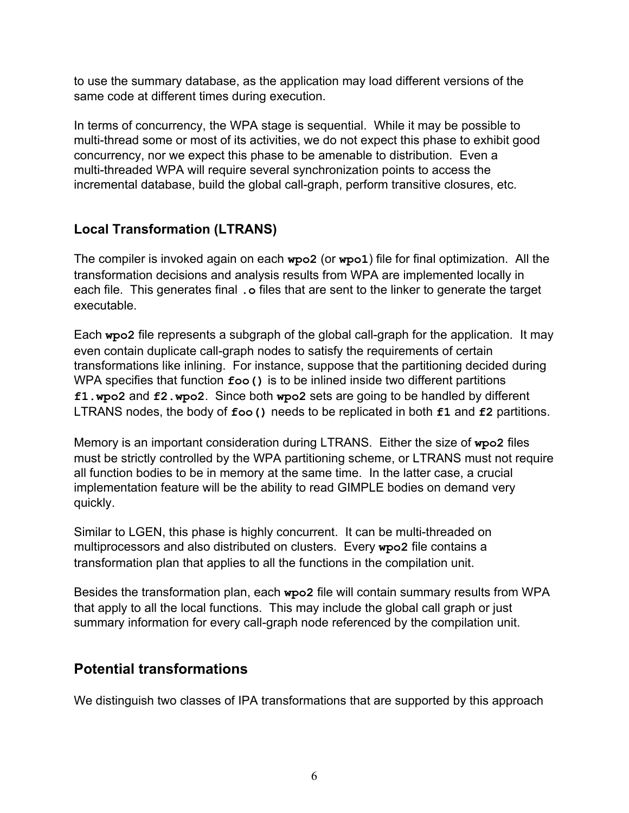to use the summary database, as the application may load different versions of the same code at different times during execution.

In terms of concurrency, the WPA stage is sequential. While it may be possible to multi-thread some or most of its activities, we do not expect this phase to exhibit good concurrency, nor we expect this phase to be amenable to distribution. Even a multi-threaded WPA will require several synchronization points to access the incremental database, build the global call-graph, perform transitive closures, etc.

### **Local Transformation (LTRANS)**

The compiler is invoked again on each **wpo2** (or **wpo1**) file for final optimization. All the transformation decisions and analysis results from WPA are implemented locally in each file. This generates final **.o** files that are sent to the linker to generate the target executable.

Each **wpo2** file represents a subgraph of the global call-graph for the application. It may even contain duplicate call-graph nodes to satisfy the requirements of certain transformations like inlining. For instance, suppose that the partitioning decided during WPA specifies that function  $f \circ \circ$  () is to be inlined inside two different partitions **f1.wpo2** and **f2.wpo2**. Since both **wpo2** sets are going to be handled by different LTRANS nodes, the body of **foo()** needs to be replicated in both **f1** and **f2** partitions.

Memory is an important consideration during LTRANS. Either the size of **wpo2** files must be strictly controlled by the WPA partitioning scheme, or LTRANS must not require all function bodies to be in memory at the same time. In the latter case, a crucial implementation feature will be the ability to read GIMPLE bodies on demand very quickly.

Similar to LGEN, this phase is highly concurrent. It can be multi-threaded on multiprocessors and also distributed on clusters. Every **wpo2** file contains a transformation plan that applies to all the functions in the compilation unit.

Besides the transformation plan, each **wpo2** file will contain summary results from WPA that apply to all the local functions. This may include the global call graph or just summary information for every call-graph node referenced by the compilation unit.

### **Potential transformations**

We distinguish two classes of IPA transformations that are supported by this approach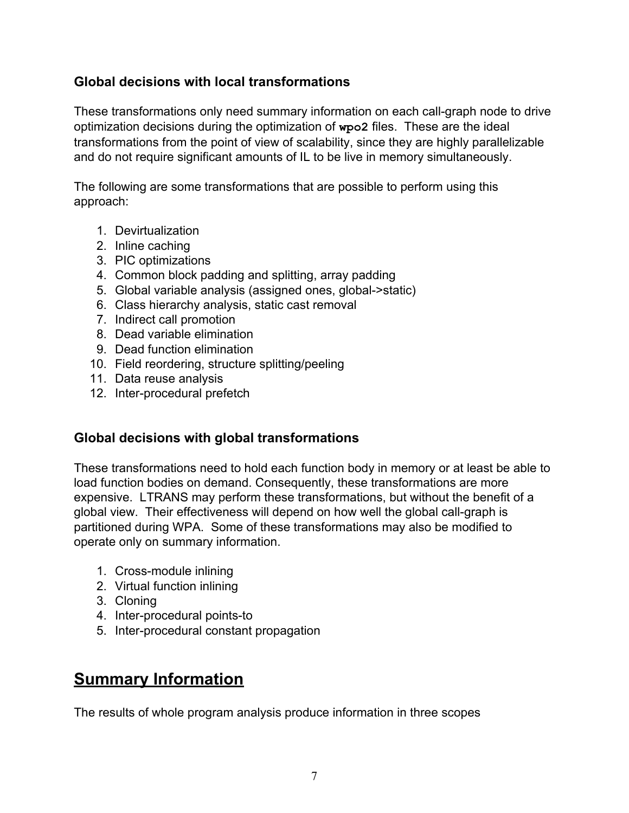### **Global decisions with local transformations**

These transformations only need summary information on each call-graph node to drive optimization decisions during the optimization of **wpo2** files. These are the ideal transformations from the point of view of scalability, since they are highly parallelizable and do not require significant amounts of IL to be live in memory simultaneously.

The following are some transformations that are possible to perform using this approach:

- 1. Devirtualization
- 2. Inline caching
- 3. PIC optimizations
- 4. Common block padding and splitting, array padding
- 5. Global variable analysis (assigned ones, global->static)
- 6. Class hierarchy analysis, static cast removal
- 7. Indirect call promotion
- 8. Dead variable elimination
- 9. Dead function elimination
- 10. Field reordering, structure splitting/peeling
- 11. Data reuse analysis
- 12. Inter-procedural prefetch

### **Global decisions with global transformations**

These transformations need to hold each function body in memory or at least be able to load function bodies on demand. Consequently, these transformations are more expensive. LTRANS may perform these transformations, but without the benefit of a global view. Their effectiveness will depend on how well the global call-graph is partitioned during WPA. Some of these transformations may also be modified to operate only on summary information.

- 1. Cross-module inlining
- 2. Virtual function inlining
- 3. Cloning
- 4. Inter-procedural points-to
- 5. Inter-procedural constant propagation

# **Summary Information**

The results of whole program analysis produce information in three scopes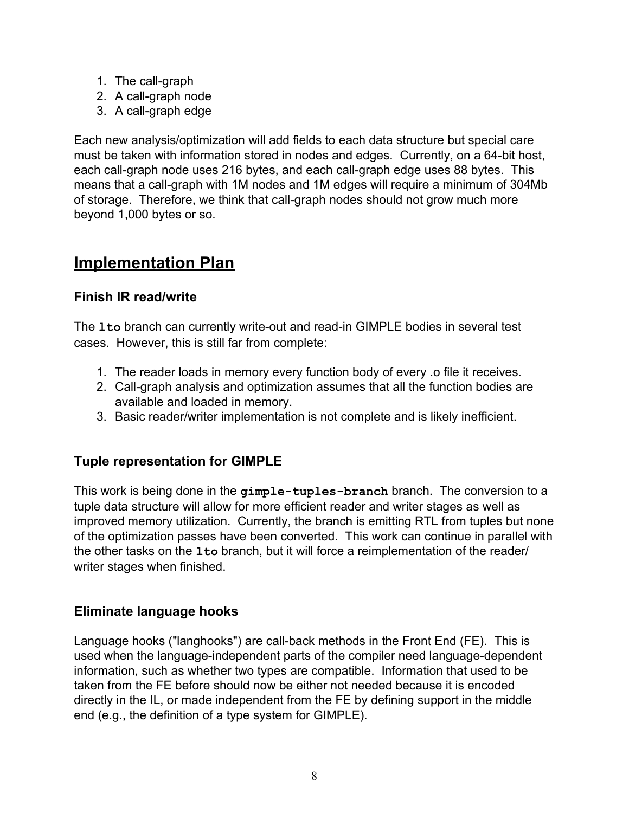- 1. The call-graph
- 2. A call-graph node
- 3. A call-graph edge

Each new analysis/optimization will add fields to each data structure but special care must be taken with information stored in nodes and edges. Currently, on a 64-bit host, each call-graph node uses 216 bytes, and each call-graph edge uses 88 bytes. This means that a call-graph with 1M nodes and 1M edges will require a minimum of 304Mb of storage. Therefore, we think that call-graph nodes should not grow much more beyond 1,000 bytes or so.

# **Implementation Plan**

### **Finish IR read/write**

The **lto** branch can currently write-out and read-in GIMPLE bodies in several test cases. However, this is still far from complete:

- 1. The reader loads in memory every function body of every .o file it receives.
- 2. Call-graph analysis and optimization assumes that all the function bodies are available and loaded in memory.
- 3. Basic reader/writer implementation is not complete and is likely inefficient.

### **Tuple representation for GIMPLE**

This work is being done in the **gimple-tuples-branch** branch. The conversion to a tuple data structure will allow for more efficient reader and writer stages as well as improved memory utilization. Currently, the branch is emitting RTL from tuples but none of the optimization passes have been converted. This work can continue in parallel with the other tasks on the **lto** branch, but it will force a reimplementation of the reader/ writer stages when finished.

### **Eliminate language hooks**

Language hooks ("langhooks") are call-back methods in the Front End (FE). This is used when the language-independent parts of the compiler need language-dependent information, such as whether two types are compatible. Information that used to be taken from the FE before should now be either not needed because it is encoded directly in the IL, or made independent from the FE by defining support in the middle end (e.g., the definition of a type system for GIMPLE).